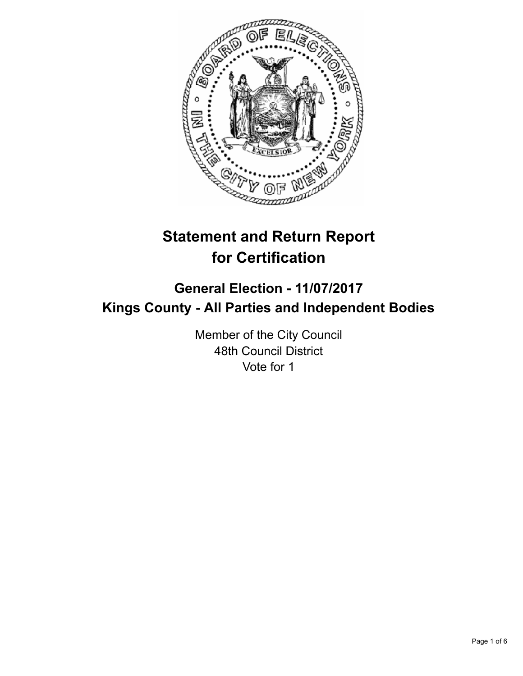

# **Statement and Return Report for Certification**

# **General Election - 11/07/2017 Kings County - All Parties and Independent Bodies**

Member of the City Council 48th Council District Vote for 1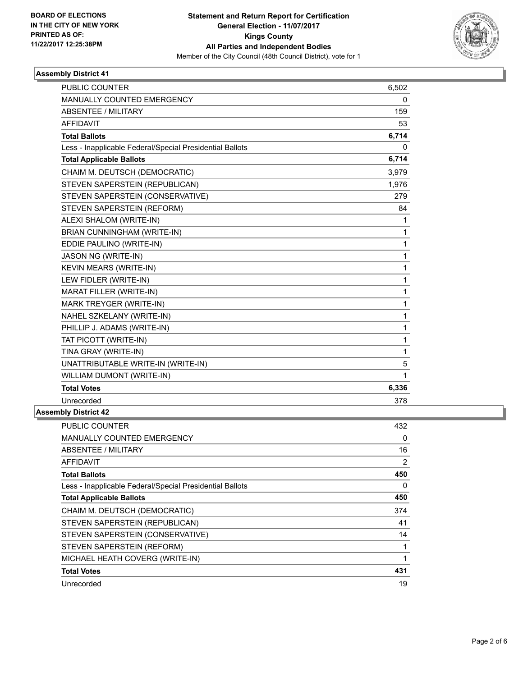

### **Assembly District 41**

| <b>PUBLIC COUNTER</b>                                    | 6,502        |
|----------------------------------------------------------|--------------|
| MANUALLY COUNTED EMERGENCY                               | 0            |
| <b>ABSENTEE / MILITARY</b>                               | 159          |
| <b>AFFIDAVIT</b>                                         | 53           |
| <b>Total Ballots</b>                                     | 6,714        |
| Less - Inapplicable Federal/Special Presidential Ballots | 0            |
| <b>Total Applicable Ballots</b>                          | 6,714        |
| CHAIM M. DEUTSCH (DEMOCRATIC)                            | 3,979        |
| STEVEN SAPERSTEIN (REPUBLICAN)                           | 1,976        |
| STEVEN SAPERSTEIN (CONSERVATIVE)                         | 279          |
| STEVEN SAPERSTEIN (REFORM)                               | 84           |
| ALEXI SHALOM (WRITE-IN)                                  | 1            |
| BRIAN CUNNINGHAM (WRITE-IN)                              | 1            |
| EDDIE PAULINO (WRITE-IN)                                 | $\mathbf{1}$ |
| <b>JASON NG (WRITE-IN)</b>                               | $\mathbf 1$  |
| KEVIN MEARS (WRITE-IN)                                   | 1            |
| LEW FIDLER (WRITE-IN)                                    | 1            |
| <b>MARAT FILLER (WRITE-IN)</b>                           | 1            |
| MARK TREYGER (WRITE-IN)                                  | 1            |
| NAHEL SZKELANY (WRITE-IN)                                | 1            |
| PHILLIP J. ADAMS (WRITE-IN)                              | 1            |
| TAT PICOTT (WRITE-IN)                                    | 1            |
| TINA GRAY (WRITE-IN)                                     | $\mathbf{1}$ |
| UNATTRIBUTABLE WRITE-IN (WRITE-IN)                       | 5            |
| WILLIAM DUMONT (WRITE-IN)                                | $\mathbf{1}$ |
| <b>Total Votes</b>                                       | 6,336        |
| Unrecorded                                               | 378          |

## **Assembly District 42**

| PUBLIC COUNTER                                           | 432            |
|----------------------------------------------------------|----------------|
| <b>MANUALLY COUNTED EMERGENCY</b>                        | 0              |
| ABSENTEE / MILITARY                                      | 16             |
| <b>AFFIDAVIT</b>                                         | $\overline{2}$ |
| <b>Total Ballots</b>                                     | 450            |
| Less - Inapplicable Federal/Special Presidential Ballots | $\Omega$       |
| <b>Total Applicable Ballots</b>                          | 450            |
| CHAIM M. DEUTSCH (DEMOCRATIC)                            | 374            |
| STEVEN SAPERSTEIN (REPUBLICAN)                           | 41             |
| STEVEN SAPERSTEIN (CONSERVATIVE)                         | 14             |
| STEVEN SAPERSTEIN (REFORM)                               |                |
| MICHAEL HEATH COVERG (WRITE-IN)                          | 4              |
| <b>Total Votes</b>                                       | 431            |
| Unrecorded                                               | 19             |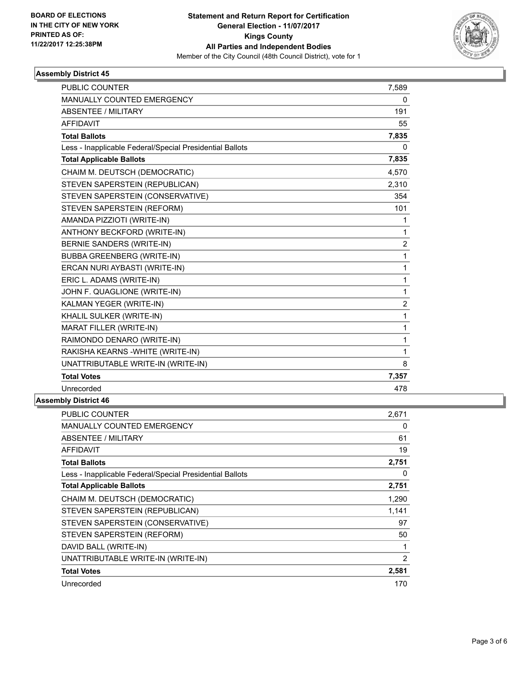

### **Assembly District 45**

| <b>PUBLIC COUNTER</b>                                    | 7,589          |
|----------------------------------------------------------|----------------|
| MANUALLY COUNTED EMERGENCY                               | 0              |
| <b>ABSENTEE / MILITARY</b>                               | 191            |
| <b>AFFIDAVIT</b>                                         | 55             |
| <b>Total Ballots</b>                                     | 7,835          |
| Less - Inapplicable Federal/Special Presidential Ballots | 0              |
| <b>Total Applicable Ballots</b>                          | 7,835          |
| CHAIM M. DEUTSCH (DEMOCRATIC)                            | 4,570          |
| STEVEN SAPERSTEIN (REPUBLICAN)                           | 2,310          |
| STEVEN SAPERSTEIN (CONSERVATIVE)                         | 354            |
| STEVEN SAPERSTEIN (REFORM)                               | 101            |
| AMANDA PIZZIOTI (WRITE-IN)                               | 1              |
| ANTHONY BECKFORD (WRITE-IN)                              | $\mathbf{1}$   |
| BERNIE SANDERS (WRITE-IN)                                | $\overline{2}$ |
| <b>BUBBA GREENBERG (WRITE-IN)</b>                        | 1              |
| ERCAN NURI AYBASTI (WRITE-IN)                            | 1              |
| ERIC L. ADAMS (WRITE-IN)                                 | 1              |
| JOHN F. QUAGLIONE (WRITE-IN)                             | $\mathbf{1}$   |
| KALMAN YEGER (WRITE-IN)                                  | $\overline{2}$ |
| KHALIL SULKER (WRITE-IN)                                 | $\mathbf{1}$   |
| MARAT FILLER (WRITE-IN)                                  | 1              |
| RAIMONDO DENARO (WRITE-IN)                               | 1              |
| RAKISHA KEARNS - WHITE (WRITE-IN)                        | 1              |
| UNATTRIBUTABLE WRITE-IN (WRITE-IN)                       | 8              |
| <b>Total Votes</b>                                       | 7,357          |
| Unrecorded                                               | 478            |

## **Assembly District 46**

| <b>PUBLIC COUNTER</b>                                    | 2,671 |
|----------------------------------------------------------|-------|
| <b>MANUALLY COUNTED EMERGENCY</b>                        | 0     |
| <b>ABSENTEE / MILITARY</b>                               | 61    |
| AFFIDAVIT                                                | 19    |
| <b>Total Ballots</b>                                     | 2,751 |
| Less - Inapplicable Federal/Special Presidential Ballots | 0     |
| <b>Total Applicable Ballots</b>                          | 2,751 |
| CHAIM M. DEUTSCH (DEMOCRATIC)                            | 1,290 |
| STEVEN SAPERSTEIN (REPUBLICAN)                           | 1,141 |
| STEVEN SAPERSTEIN (CONSERVATIVE)                         | 97    |
| STEVEN SAPERSTEIN (REFORM)                               | 50    |
| DAVID BALL (WRITE-IN)                                    |       |
| UNATTRIBUTABLE WRITE-IN (WRITE-IN)                       | 2     |
| <b>Total Votes</b>                                       | 2,581 |
| Unrecorded                                               | 170   |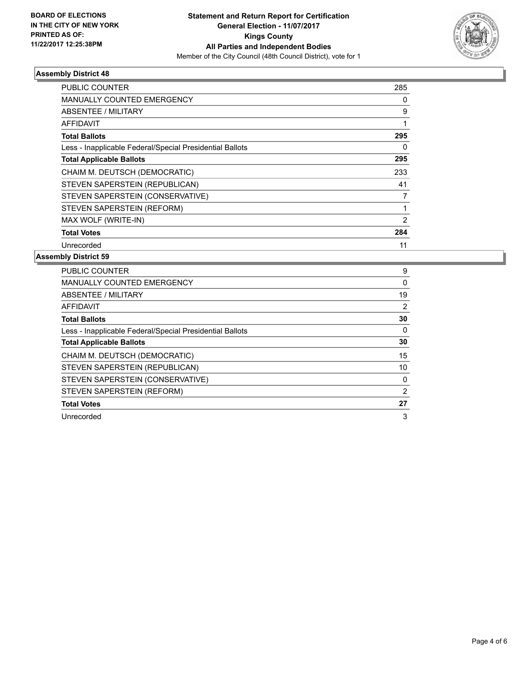

### **Assembly District 48**

| <b>PUBLIC COUNTER</b>                                    | 285            |
|----------------------------------------------------------|----------------|
| <b>MANUALLY COUNTED EMERGENCY</b>                        | 0              |
| <b>ABSENTEE / MILITARY</b>                               | 9              |
| AFFIDAVIT                                                |                |
| <b>Total Ballots</b>                                     | 295            |
| Less - Inapplicable Federal/Special Presidential Ballots | 0              |
| <b>Total Applicable Ballots</b>                          | 295            |
| CHAIM M. DEUTSCH (DEMOCRATIC)                            | 233            |
| STEVEN SAPERSTEIN (REPUBLICAN)                           | 41             |
| STEVEN SAPERSTEIN (CONSERVATIVE)                         | 7              |
| STEVEN SAPERSTEIN (REFORM)                               |                |
| MAX WOLF (WRITE-IN)                                      | $\overline{2}$ |
| <b>Total Votes</b>                                       | 284            |
| Unrecorded                                               | 11             |

### **Assembly District 59**

| <b>PUBLIC COUNTER</b>                                    | 9  |
|----------------------------------------------------------|----|
| <b>MANUALLY COUNTED EMERGENCY</b>                        | 0  |
| ABSENTEE / MILITARY                                      | 19 |
| <b>AFFIDAVIT</b>                                         | 2  |
| <b>Total Ballots</b>                                     | 30 |
| Less - Inapplicable Federal/Special Presidential Ballots | 0  |
| <b>Total Applicable Ballots</b>                          | 30 |
| CHAIM M. DEUTSCH (DEMOCRATIC)                            | 15 |
| STEVEN SAPERSTEIN (REPUBLICAN)                           | 10 |
| STEVEN SAPERSTEIN (CONSERVATIVE)                         | 0  |
| STEVEN SAPERSTEIN (REFORM)                               | 2  |
| <b>Total Votes</b>                                       | 27 |
| Unrecorded                                               | 3  |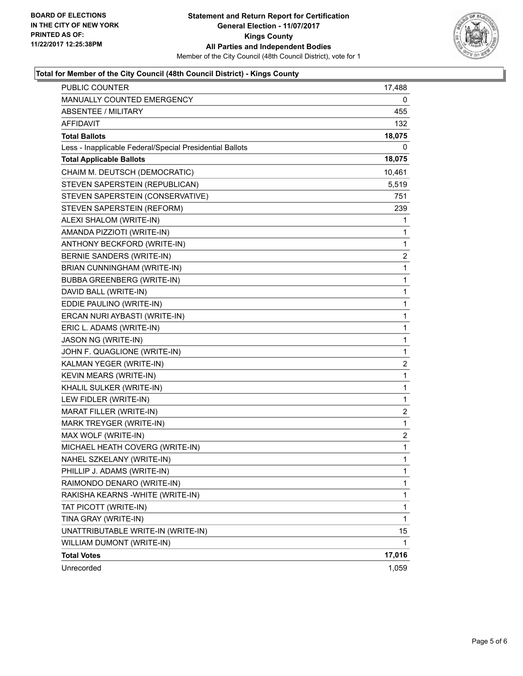

### **Total for Member of the City Council (48th Council District) - Kings County**

| PUBLIC COUNTER                                           | 17,488                  |
|----------------------------------------------------------|-------------------------|
| MANUALLY COUNTED EMERGENCY                               | 0                       |
| <b>ABSENTEE / MILITARY</b>                               | 455                     |
| AFFIDAVIT                                                | 132                     |
| <b>Total Ballots</b>                                     | 18,075                  |
| Less - Inapplicable Federal/Special Presidential Ballots | 0                       |
| <b>Total Applicable Ballots</b>                          | 18,075                  |
| CHAIM M. DEUTSCH (DEMOCRATIC)                            | 10,461                  |
| STEVEN SAPERSTEIN (REPUBLICAN)                           | 5,519                   |
| STEVEN SAPERSTEIN (CONSERVATIVE)                         | 751                     |
| STEVEN SAPERSTEIN (REFORM)                               | 239                     |
| ALEXI SHALOM (WRITE-IN)                                  | 1                       |
| AMANDA PIZZIOTI (WRITE-IN)                               | 1                       |
| ANTHONY BECKFORD (WRITE-IN)                              | 1                       |
| BERNIE SANDERS (WRITE-IN)                                | $\overline{\mathbf{c}}$ |
| BRIAN CUNNINGHAM (WRITE-IN)                              | 1                       |
| <b>BUBBA GREENBERG (WRITE-IN)</b>                        | 1                       |
| DAVID BALL (WRITE-IN)                                    | 1                       |
| EDDIE PAULINO (WRITE-IN)                                 | 1                       |
| ERCAN NURI AYBASTI (WRITE-IN)                            | 1                       |
| ERIC L. ADAMS (WRITE-IN)                                 | 1                       |
| JASON NG (WRITE-IN)                                      | 1                       |
| JOHN F. QUAGLIONE (WRITE-IN)                             | 1                       |
| KALMAN YEGER (WRITE-IN)                                  | $\overline{\mathbf{c}}$ |
| KEVIN MEARS (WRITE-IN)                                   | 1                       |
| KHALIL SULKER (WRITE-IN)                                 | 1                       |
| LEW FIDLER (WRITE-IN)                                    | 1                       |
| MARAT FILLER (WRITE-IN)                                  | 2                       |
| MARK TREYGER (WRITE-IN)                                  | 1                       |
| MAX WOLF (WRITE-IN)                                      | $\overline{\mathbf{c}}$ |
| MICHAEL HEATH COVERG (WRITE-IN)                          | $\mathbf{1}$            |
| NAHEL SZKELANY (WRITE-IN)                                | 1                       |
| PHILLIP J. ADAMS (WRITE-IN)                              | 1                       |
| RAIMONDO DENARO (WRITE-IN)                               | 1                       |
| RAKISHA KEARNS - WHITE (WRITE-IN)                        | 1                       |
| TAT PICOTT (WRITE-IN)                                    | 1                       |
| TINA GRAY (WRITE-IN)                                     | $\mathbf{1}$            |
| UNATTRIBUTABLE WRITE-IN (WRITE-IN)                       | 15                      |
| WILLIAM DUMONT (WRITE-IN)                                | 1                       |
| <b>Total Votes</b>                                       | 17,016                  |
| Unrecorded                                               | 1,059                   |